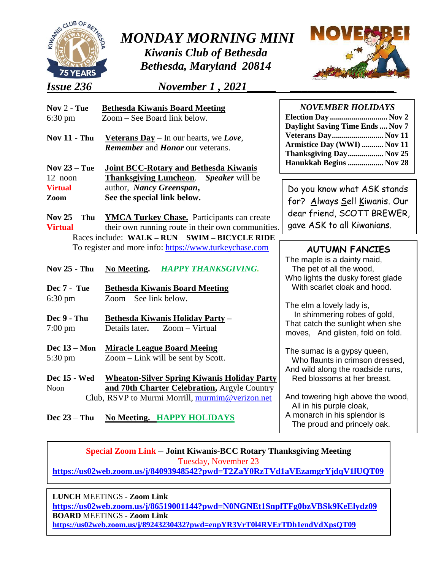

*MONDAY MORNING MINI* 

*Kiwanis Club of Bethesda Bethesda, Maryland 20814*

*Issue 236**November 1 , 2021***\_\_\_\_\_ \_\_\_\_\_\_\_\_\_\_\_\_\_\_\_\_\_\_**



| Nov $2$ - Tue<br>$6:30 \text{ pm}$ | <b>Bethesda Kiwanis Board Meeting</b><br>Zoom – See Board link below.                    | <b>NOVEMBER HOLIDAYS</b><br>Election Day  Nov 2<br>Daylight Saving Time Ends  Nov 7          |
|------------------------------------|------------------------------------------------------------------------------------------|----------------------------------------------------------------------------------------------|
| <b>Nov 11 - Thu</b>                | <b>Veterans Day</b> – In our hearts, we Love,<br><b>Remember and Honor our veterans.</b> | Veterans Day Nov 11<br>Armistice Day (WWI)  Nov 11<br>Thanksgiving Day Nov 25                |
| Nov $23 -$ Tue                     | <b>Joint BCC-Rotary and Bethesda Kiwanis</b>                                             | Hanukkah Begins  Nov 28                                                                      |
| 12 noon                            | <b>Thanksgiving Luncheon.</b><br>Speaker will be                                         |                                                                                              |
| <b>Virtual</b>                     | author, Nancy Greenspan,                                                                 | Do you know what ASK stands                                                                  |
| Zoom                               | See the special link below.                                                              | for? Always Sell Kiwanis. Our                                                                |
|                                    |                                                                                          | dear friend, SCOTT BREWER,                                                                   |
| Nov $25 - Thu$                     | <b>YMCA Turkey Chase.</b> Participants can create                                        |                                                                                              |
| <b>Virtual</b>                     | their own running route in their own communities.                                        | gave ASK to all Kiwanians.                                                                   |
|                                    | Races include: WALK - RUN - SWIM - BICYCLE RIDE                                          |                                                                                              |
|                                    | To register and more info: https://www.turkeychase.com                                   | <b>AUTUMN FANCIES</b>                                                                        |
| <b>Nov 25 - Thu</b>                | <b>HAPPY THANKSGIVING.</b><br><b>No Meeting.</b>                                         | The maple is a dainty maid,<br>The pet of all the wood,<br>Who lights the dusky forest glade |
| Dec 7 - Tue                        | <b>Bethesda Kiwanis Board Meeting</b>                                                    | With scarlet cloak and hood.                                                                 |
| $6:30 \text{ pm}$                  | $Zoom - See$ link below.                                                                 |                                                                                              |
| Dec 9 - Thu                        | Bethesda Kiwanis Holiday Party -                                                         | The elm a lovely lady is,<br>In shimmering robes of gold,                                    |
| $7:00 \text{ pm}$                  | Zoom - Virtual<br>Details later.                                                         | That catch the sunlight when she<br>moves, And glisten, fold on fold.                        |
| Dec $13 - Mon$<br>5:30 pm          | <b>Miracle League Board Meeing</b><br>Zoom – Link will be sent by Scott.                 | The sumac is a gypsy queen,<br>Who flaunts in crimson dressed,                               |
| <b>Dec</b> 15 - Wed                | <b>Wheaton-Silver Spring Kiwanis Holiday Party</b>                                       | And wild along the roadside runs,<br>Red blossoms at her breast.                             |
| Noon                               | and 70th Charter Celebration, Argyle Country                                             |                                                                                              |

**Dec 23** – **Thu No Meeting. HAPPY HOLIDAYS**

A monarch in his splendor is The proud and princely oak.

**Special Zoom Link** – **Joint Kiwanis-BCC Rotary Thanksgiving Meeting** Tuesday, November 23

**<https://us02web.zoom.us/j/84093948542?pwd=T2ZaY0RzTVd1aVEzamgrYjdqV1lUQT09>**

**LUNCH MEETINGS - Zoom Link** 

I

**<https://us02web.zoom.us/j/86519001144?pwd=N0NGNEt1SnplTFg0bzVBSk9KeElydz09>** Passcode: 479194 **BOARD** MEETINGS **- Zoom Link <https://us02web.zoom.us/j/89243230432?pwd=enpYR3VrT0l4RVErTDh1endVdXpsQT09>**